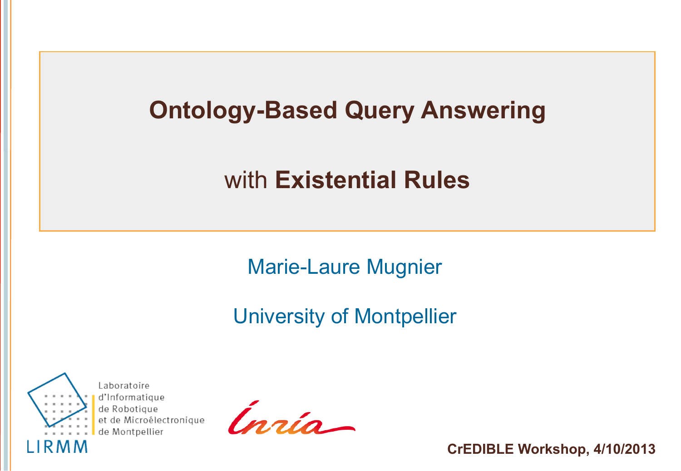# **Ontology-Based Query Answering**

# with **Existential Rules**

Marie-Laure Mugnier

#### University of Montpellier



Laboratoire d'Informatique de Robotique et de Microélectronique de Montpellier

Inzio-

**CrEDIBLE Workshop, 4/10/2013**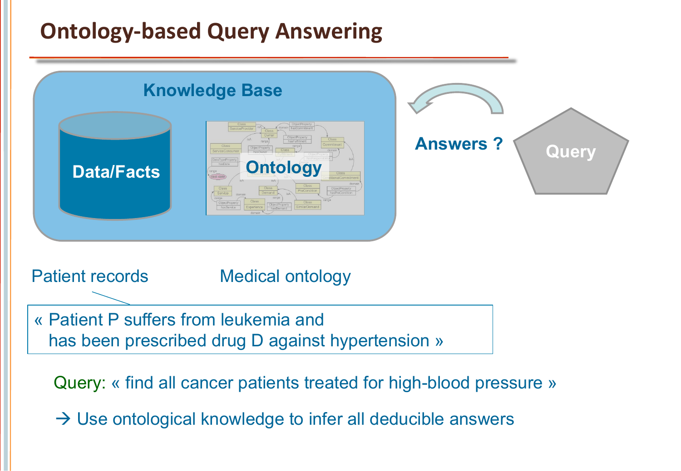### **Ontology-based Query Answering**



 $\rightarrow$  Use ontological knowledge to infer all deducible answers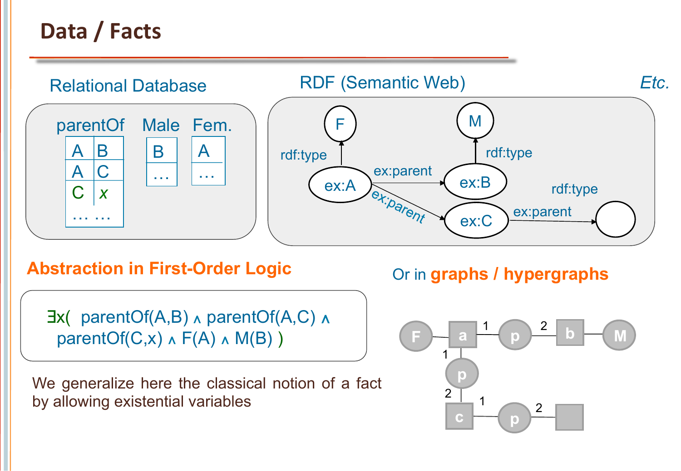## Data / Facts



**Abstraction in First-Order Logic**

 ∃x( parentOf(A,B) ∧ parentOf(A,C) ∧ parentOf(C,x)  $\land$  F(A)  $\land$  M(B))

We generalize here the classical notion of a fact by allowing existential variables

#### Or in **graphs / hypergraphs**

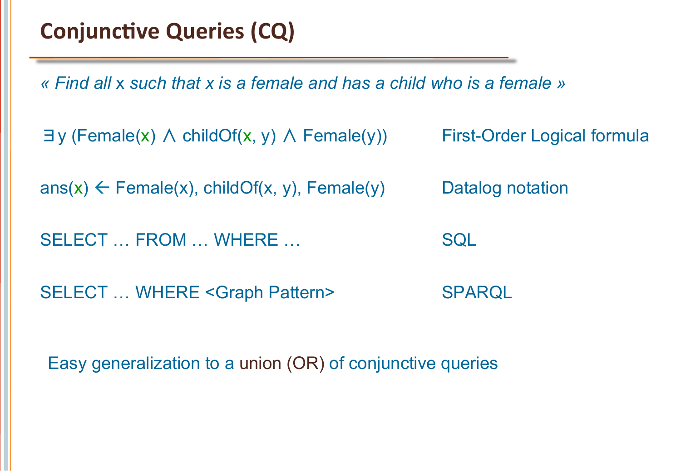*« Find all* x *such that x is a female and has a child who is a female »* 

```
∃y (Female(x) ∧ childOf(x, y) ∧ Female(y)) First-Order Logical formula
```
ans(x)  $\leftarrow$  Female(x), childOf(x, y), Female(y) Datalog notation

SELECT ... FROM ... WHERE ... SQL

SELECT ... WHERE <Graph Pattern>
SPARQL

Easy generalization to a union (OR) of conjunctive queries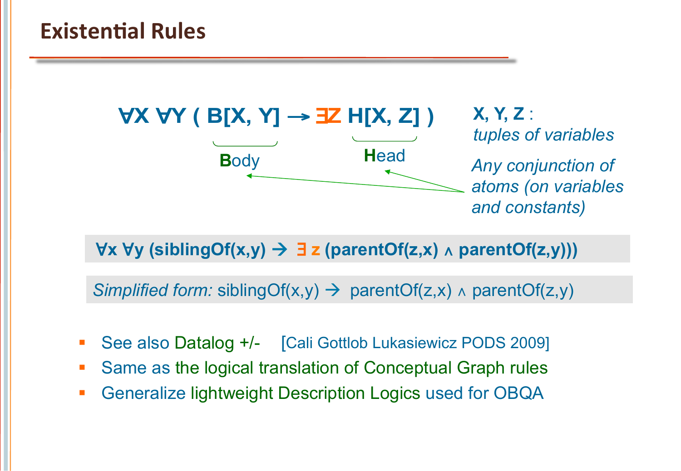**B**ody **H**ead ∀**X** ∀**Y ( B[X, Y]** → ∃**Z H[X, Z] )**

**X, Y, Z** : *tuples of variables Any conjunction of atoms (on variables and constants)* 

∀**x** ∀**y (siblingOf(x,y)** à ∃ **z (parentOf(z,x)** ∧ **parentOf(z,y)))** 

*Simplified form:* siblingOf(x,y) → parentOf(z,x)  $\land$  parentOf(z,y)

- See also Datalog +/- [Cali Gottlob Lukasiewicz PODS 2009]
- Same as the logical translation of Conceptual Graph rules
- **Generalize lightweight Description Logics used for OBQA**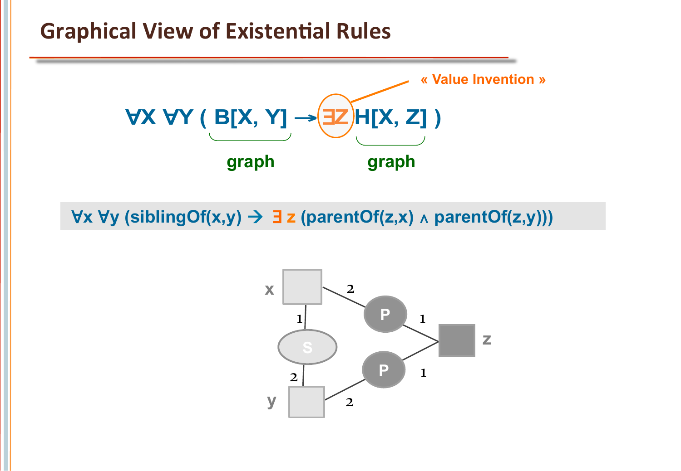#### **Graphical View of Existential Rules**



∀**x** ∀**y (siblingOf(x,y)** à ∃ **z (parentOf(z,x)** ∧ **parentOf(z,y)))** 

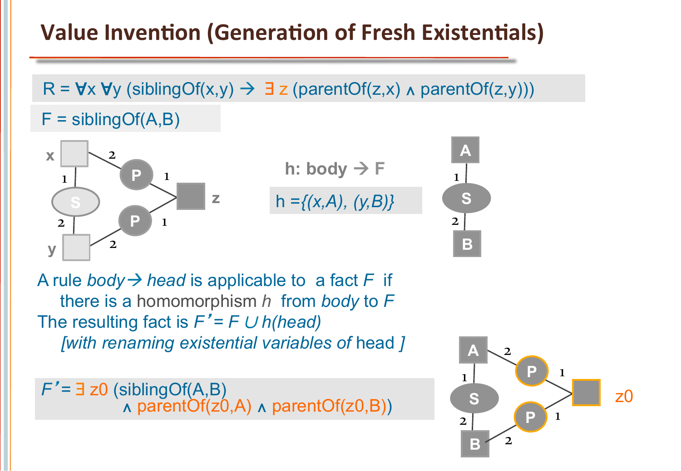### **Value Invention (Generation of Fresh Existentials)**

 $F =$  sibling Of  $(A, B)$  $R = \forall x \forall y$  (siblingOf(x,y)  $\rightarrow \exists z$  (parentOf(z,x)  $\land$  parentOf(z,y)))



h =*{(x,A), (y,B)}*  h: body  $\rightarrow$  F

 $\mathbf{1}$ **S A B**  2 

The resulting fact is *F*'*= F* ∪ *h(head) [with renaming existential variables of* head *]*  A rule *body*  $\rightarrow$  *head* is applicable to a fact F if there is a homomorphism *h* from *body* to *F* 

*F*' = 3 z0 (siblingOf(A,B) *<sup>=</sup>* <sup>∃</sup> z0 (siblingOf(A,B) <sup>∧</sup> parentOf(z0,A) <sup>∧</sup> parentOf(z0,B))

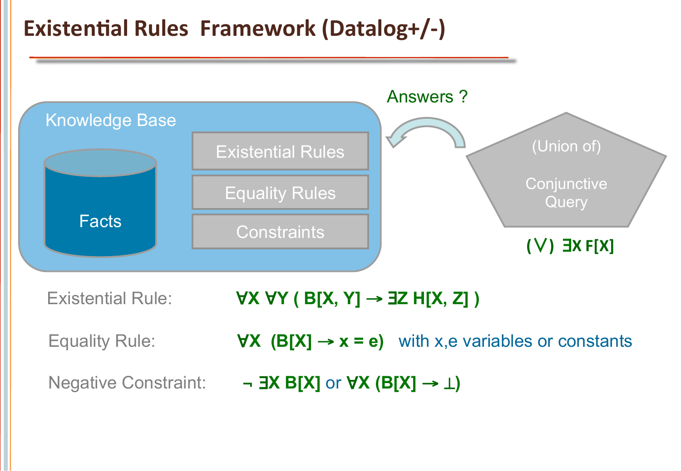#### **Existential Rules Framework (Datalog+/-)**

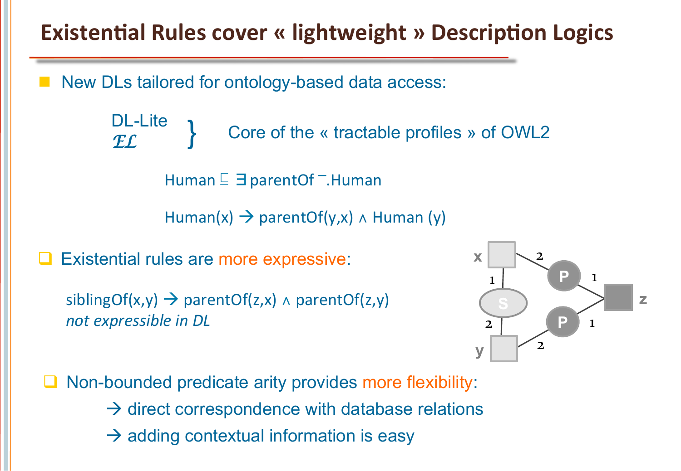**Existential Rules cover « lightweight » Description Logics** 

New DLs tailored for ontology-based data access:

DL-Lite<br> *EL EL* Core of the « tractable profiles » of OWL2

Human <sup>⊑</sup> ∃ parentOf <sup>-</sup>.Human

Human(x)  $\rightarrow$  parentOf(y,x)  $\land$  Human (y)

Existential rules are more expressive:

siblingOf(x,y)  $\rightarrow$  parentOf(z,x)  $\land$  parentOf(z,y) *not expressible in DL* 



Non-bounded predicate arity provides more flexibility:  $\rightarrow$  direct correspondence with database relations  $\rightarrow$  adding contextual information is easy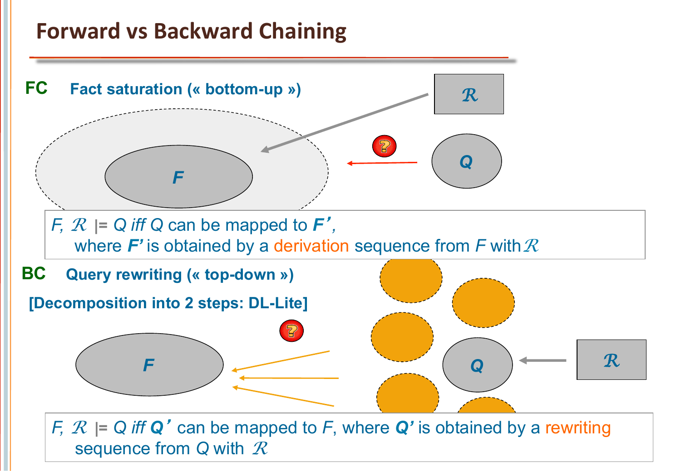#### **Forward vs Backward Chaining**

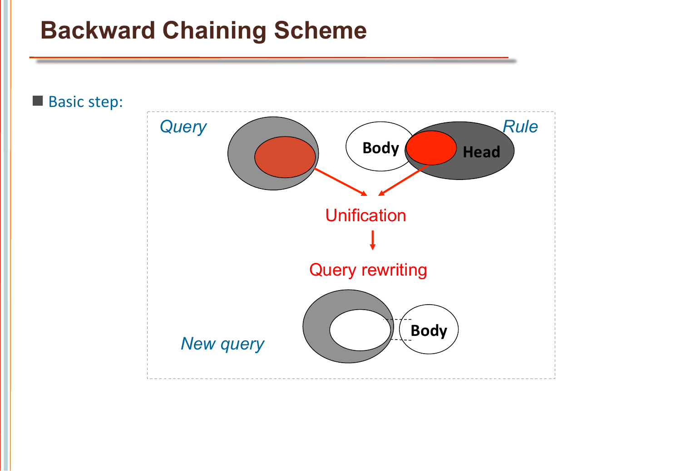## **Backward Chaining Scheme**

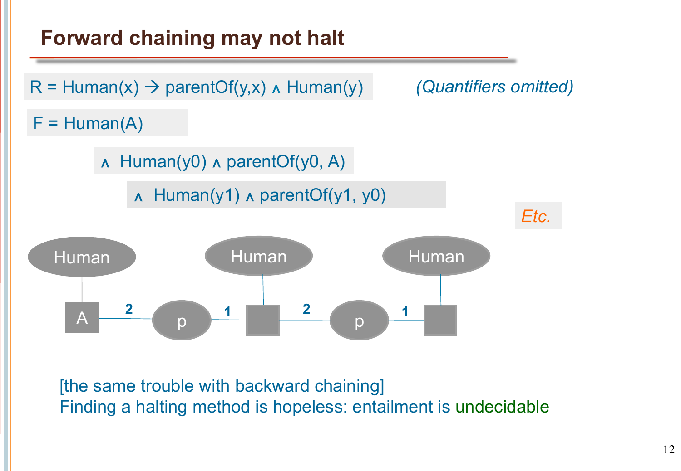

[the same trouble with backward chaining] Finding a halting method is hopeless: entailment is undecidable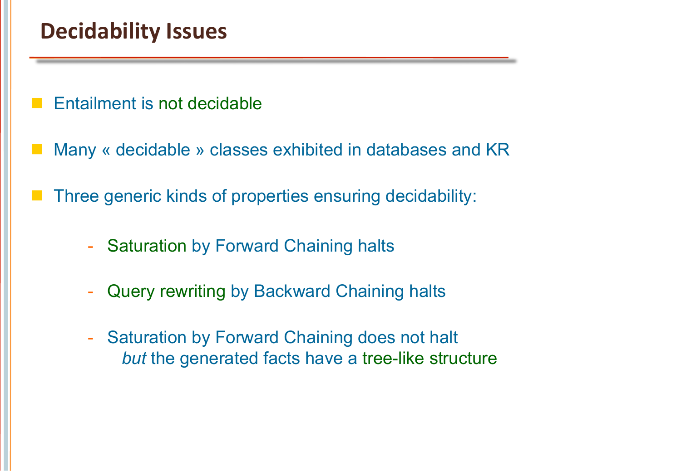#### **Decidability Issues**

- Entailment is not decidable
- Many « decidable » classes exhibited in databases and KR
- Three generic kinds of properties ensuring decidability:
	- **Saturation by Forward Chaining halts**
	- Query rewriting by Backward Chaining halts
	- Saturation by Forward Chaining does not halt *but* the generated facts have a tree-like structure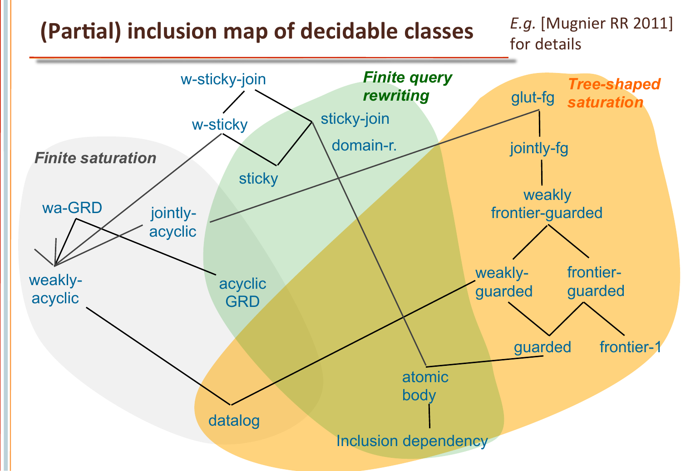# **(Partial) inclusion map of decidable classes**

*E.g.* [Mugnier RR 2011] for details

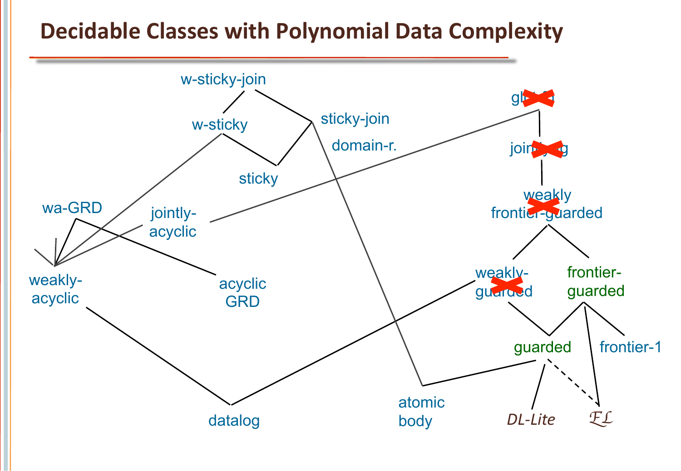#### **Decidable Classes with Polynomial Data Complexity**